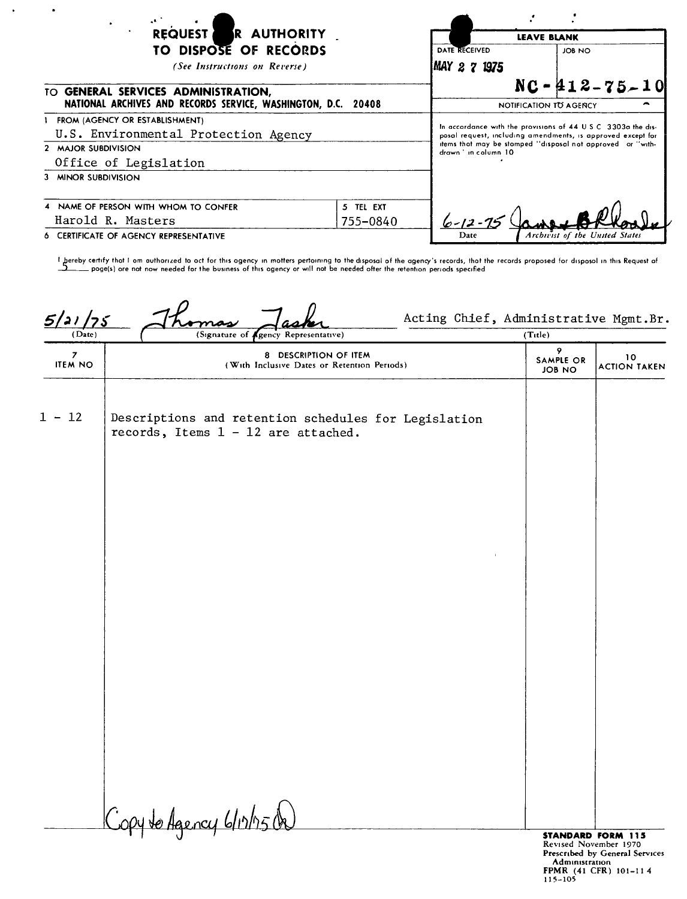| REQUEST R AUTHORITY<br>٠<br>TO DISPOSE OF RECORDS<br>(See Instructions on Reverse)<br>TO GENERAL SERVICES ADMINISTRATION,<br>NATIONAL ARCHIVES AND RECORDS SERVICE, WASHINGTON, D.C. 20408 |           | <b>LEAVE BLANK</b>                             |                                                                                                                                                                                            |
|--------------------------------------------------------------------------------------------------------------------------------------------------------------------------------------------|-----------|------------------------------------------------|--------------------------------------------------------------------------------------------------------------------------------------------------------------------------------------------|
|                                                                                                                                                                                            |           | DATE RECEIVED<br>MAY 2 7 1975                  | JOB NO                                                                                                                                                                                     |
|                                                                                                                                                                                            |           | $NC - 412 - 75 - 10$<br>NOTIFICATION TO AGENCY |                                                                                                                                                                                            |
| FROM (AGENCY OR ESTABLISHMENT)<br>U.S. Environmental Protection Agency<br>2 MAJOR SUBDIVISION<br>Office of Legislation                                                                     |           | drawn 'in column 10                            | In accordance with the provisions of 44 U.S.C. 3303a the dis-<br>posal request, including amendments, is approved except for<br>items that may be stamped "disposal not approved or "with- |
| 3 MINOR SUBDIVISION                                                                                                                                                                        |           |                                                |                                                                                                                                                                                            |
| 4 NAME OF PERSON WITH WHOM TO CONFER                                                                                                                                                       | 5 TEL EXT |                                                |                                                                                                                                                                                            |
| Harold R. Masters                                                                                                                                                                          | 755-0840  | $6 - 12 - 15$                                  |                                                                                                                                                                                            |
| 6 CERTIFICATE OF AGENCY REPRESENTATIVE                                                                                                                                                     |           | Date                                           | Archivist of the United States                                                                                                                                                             |

 $\sim$ 

**I ,hereby certify that <sup>r</sup> am** cuthortz ed **to act for this agency In matters pertaining to the disposal of the agency's records, that the records proposed for disposal In this Request of ~ pagels) ore not now needed for the** bvsmess **of this agency or wIll not be needed after the** re+ent.on **periods** specified

| 5/21/75<br>(Date)   | (Signature of <i>sgency</i> Representative)                                                   | (Title)                                           |                                |
|---------------------|-----------------------------------------------------------------------------------------------|---------------------------------------------------|--------------------------------|
| 7<br><b>ITEM NO</b> | 8 DESCRIPTION OF ITEM<br>(With Inclusive Dates or Retention Periods)                          | 9.<br>SAMPLE OR<br><b>JOB NO</b>                  | 10<br><b>ACTION TAKEN</b>      |
| $1 - 12$            | Descriptions and retention schedules for Legislation<br>records, Items $1 - 12$ are attached. |                                                   |                                |
|                     |                                                                                               |                                                   |                                |
|                     |                                                                                               |                                                   |                                |
|                     |                                                                                               |                                                   |                                |
|                     |                                                                                               |                                                   |                                |
|                     | Copy to Agency 6/12/15 On                                                                     | <b>STANDARD FORM 115</b><br>Revised November 1970 | Prescribed by General Services |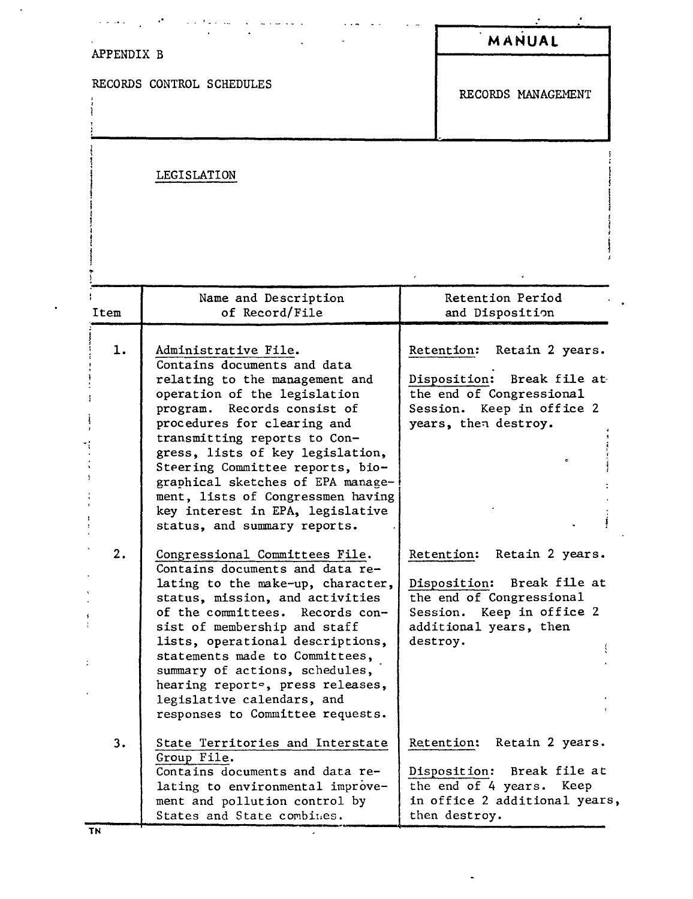| APPENDIX B |                                                                                                                                                                                                                                                                                                                                                                                                                                              |          | MANUAL                                                                                                                                         |
|------------|----------------------------------------------------------------------------------------------------------------------------------------------------------------------------------------------------------------------------------------------------------------------------------------------------------------------------------------------------------------------------------------------------------------------------------------------|----------|------------------------------------------------------------------------------------------------------------------------------------------------|
|            | RECORDS CONTROL SCHEDULES                                                                                                                                                                                                                                                                                                                                                                                                                    |          | RECORDS MANAGEMENT                                                                                                                             |
|            | LEGISLATION                                                                                                                                                                                                                                                                                                                                                                                                                                  |          |                                                                                                                                                |
| Item       | Name and Description<br>of Record/File                                                                                                                                                                                                                                                                                                                                                                                                       |          | Retention Period<br>and Disposition                                                                                                            |
|            |                                                                                                                                                                                                                                                                                                                                                                                                                                              |          |                                                                                                                                                |
| 1.         | Administrative File.<br>Contains documents and data<br>relating to the management and<br>operation of the legislation<br>program.<br>Records consist of<br>procedures for clearing and<br>transmitting reports to Con-<br>gress, lists of key legislation,<br>Steering Committee reports, bio-<br>graphical sketches of EPA manage-<br>ment, lists of Congressmen having<br>key interest in EPA, legislative<br>status, and summary reports. |          | Retention: Retain 2 years.<br>Disposition: Break file at<br>the end of Congressional<br>Session. Keep in office 2<br>years, then destroy.      |
| 2.         | Congressional Committees File.<br>Contains documents and data re-<br>lating to the make-up, character,<br>status, mission, and activities<br>of the committees. Records con-<br>sist of membership and staff<br>lists, operational descriptions,<br>statements made to Committees,<br>summary of actions, schedules,<br>hearing reporte, press releases,<br>legislative calendars, and<br>responses to Committee requests.                   | destroy. | Retain 2 years.<br>Retention:<br>Disposition: Break file at<br>the end of Congressional<br>Session. Keep in office 2<br>additional years, then |
| 3.         | State Territories and Interstate<br>Group File.<br>Contains documents and data re-<br>lating to environmental improve-<br>ment and pollution control by<br>States and State combines.                                                                                                                                                                                                                                                        |          | Retain 2 years.<br>Retention:<br>Break file at<br>Disposition:<br>the end of 4 years. Keep<br>in office 2 additional years,<br>then destroy.   |

 $\ddot{\phantom{0}}$ 

TN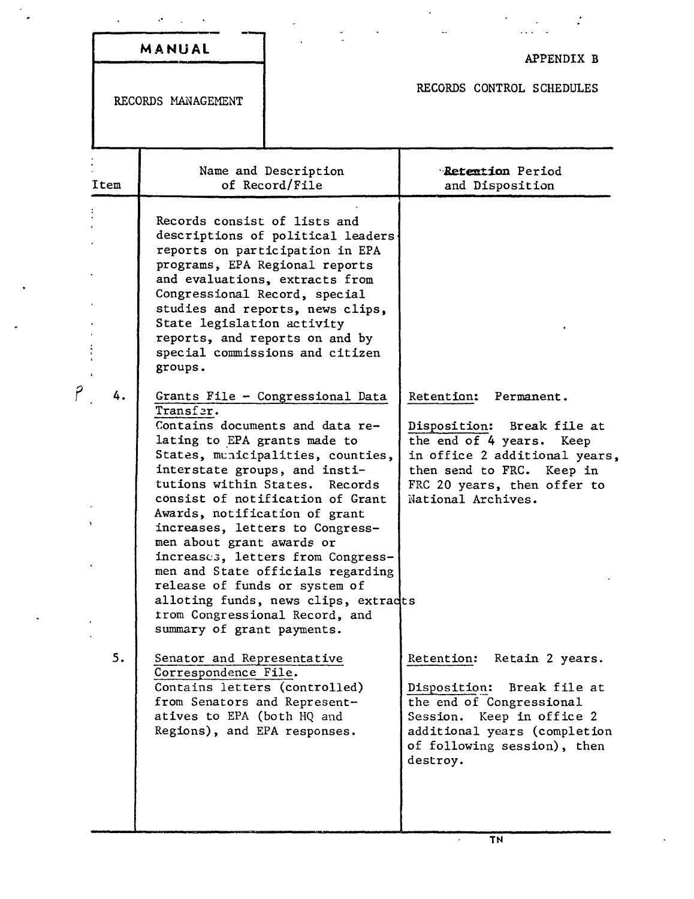| MANUAL |   |  |
|--------|---|--|
|        | ٠ |  |

## APPENDIX B

 $\boldsymbol{\cdot}$ 

## RECORDS CONTROL SCHEDULES

RECORDS MANAGEMENT

| Item | Name and Description<br>of Record/File                                                                                                                                                                                                                                                                                                                                                                                                                                                                                                                                           | <b>Retention Period</b><br>and Disposition                                                                                                                                                               |
|------|----------------------------------------------------------------------------------------------------------------------------------------------------------------------------------------------------------------------------------------------------------------------------------------------------------------------------------------------------------------------------------------------------------------------------------------------------------------------------------------------------------------------------------------------------------------------------------|----------------------------------------------------------------------------------------------------------------------------------------------------------------------------------------------------------|
|      | Records consist of lists and<br>descriptions of political leaders<br>reports on participation in EPA<br>programs, EPA Regional reports<br>and evaluations, extracts from<br>Congressional Record, special<br>studies and reports, news clips,<br>State legislation activity<br>reports, and reports on and by<br>special commissions and citizen<br>groups.                                                                                                                                                                                                                      |                                                                                                                                                                                                          |
| 4.   | Grants File - Congressional Data<br>Transfer.<br>Contains documents and data re-<br>lating to EPA grants made to<br>States, municipalities, counties,<br>interstate groups, and insti-<br>tutions within States. Records<br>consist of notification of Grant<br>Awards, notification of grant<br>increases, letters to Congress-<br>men about grant awards or<br>increases, letters from Congress-<br>men and State officials regarding<br>release of funds or system of<br>alloting funds, news clips, extracts<br>trom Congressional Record, and<br>summary of grant payments. | Retention:<br>Permanent.<br>Disposition: Break file at<br>the end of 4 years. Keep<br>in office 2 additional years,<br>then send to FRC.<br>Keep in<br>FRC 20 years, then offer to<br>National Archives. |
| . ر  | Senator and Representative<br>Correspondence File.<br>Contains letters (controlled)<br>from Senators and Represent-<br>atives to EPA (both HQ and<br>Regions), and EPA responses.                                                                                                                                                                                                                                                                                                                                                                                                | Retention:<br>Retain 2 years.<br>Disposition:<br>Break file at<br>the end of Congressional<br>Keep in office 2<br>Session.<br>additional years (completion<br>of following session), then<br>destroy.    |

 $\ddot{\phantom{0}}$ 

 $\ddot{\phantom{0}}$ 

7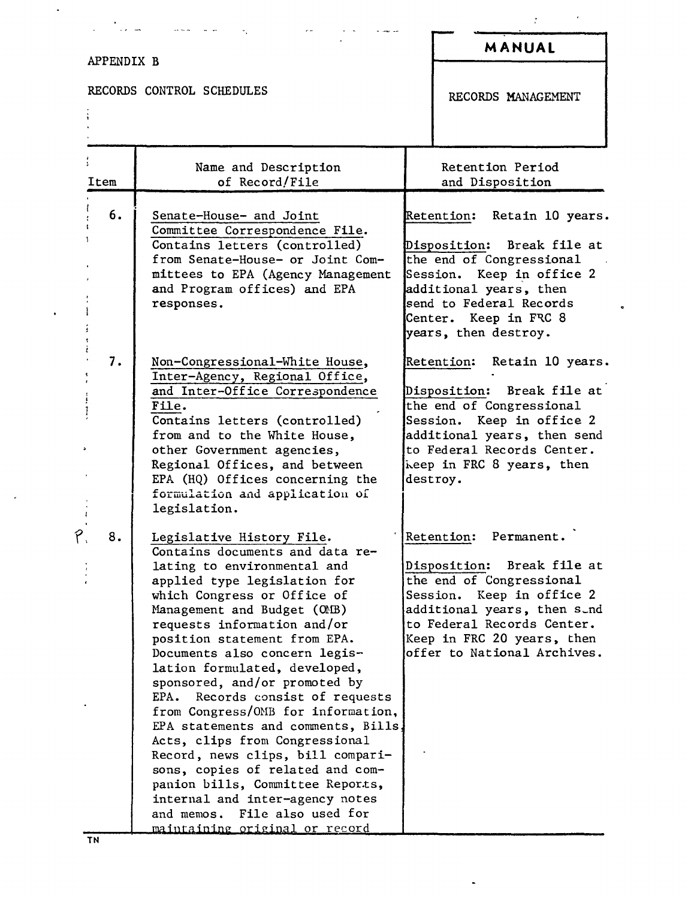| APPENDIX B |                                                                                                                                                                                                                                                                                                                                                                                                                                                                                                                                                                                                                                                                                                                                      | MANUAL                                                                                                                                                                                                                                          |
|------------|--------------------------------------------------------------------------------------------------------------------------------------------------------------------------------------------------------------------------------------------------------------------------------------------------------------------------------------------------------------------------------------------------------------------------------------------------------------------------------------------------------------------------------------------------------------------------------------------------------------------------------------------------------------------------------------------------------------------------------------|-------------------------------------------------------------------------------------------------------------------------------------------------------------------------------------------------------------------------------------------------|
|            | RECORDS CONTROL SCHEDULES                                                                                                                                                                                                                                                                                                                                                                                                                                                                                                                                                                                                                                                                                                            | RECORDS MANAGEMENT                                                                                                                                                                                                                              |
| Item       | Name and Description<br>of Record/File                                                                                                                                                                                                                                                                                                                                                                                                                                                                                                                                                                                                                                                                                               | Retention Period<br>and Disposition                                                                                                                                                                                                             |
| 6.         | Senate-House- and Joint<br>Committee Correspondence File.<br>Contains letters (controlled)<br>from Senate-House- or Joint Com-<br>mittees to EPA (Agency Management<br>and Program offices) and EPA<br>responses.                                                                                                                                                                                                                                                                                                                                                                                                                                                                                                                    | Retain 10 years.<br>Retention:<br>Disposition:<br>Break file at<br>the end of Congressional<br>Session. Keep in office 2<br>additional years, then<br>send to Federal Records<br>Center. Keep in FRC 8<br>years, then destroy.                  |
| 7.         | Non-Congressional-White House,<br>Inter-Agency, Regional Office,<br>and Inter-Office Correspondence<br>File.<br>Contains letters (controlled)<br>from and to the White House,<br>other Government agencies,<br>Regional Offices, and between<br>EPA (HQ) Offices concerning the<br>formulation and application of<br>legislation.                                                                                                                                                                                                                                                                                                                                                                                                    | Retain 10 years.<br><b>Retention:</b><br>Disposition: Break file at<br>the end of Congressional<br>Session. Keep in office 2<br>additional years, then send<br>to Federal Records Center.<br>keep in FRC 8 years, then<br>destroy.              |
| 8.         | Legislative History File.<br>Contains documents and data re-<br>lating to environmental and<br>applied type legislation for<br>which Congress or Office of<br>Management and Budget (OMB)<br>requests information and/or<br>position statement from EPA.<br>Documents also concern legis-<br>lation formulated, developed,<br>sponsored, and/or promoted by<br>Records consist of requests<br>EPA.<br>from Congress/OMB for information,<br>EPA statements and comments, Bills,<br>Acts, clips from Congressional<br>Record, news clips, bill compari-<br>sons, copies of related and com-<br>panion bills, Committee Reports,<br>internal and inter-agency notes<br>and memos. File also used for<br>maintaining original or record | Retention:<br>Permanent.<br>Disposition:<br>Break file at<br>the end of Congressional<br>Keep in office 2<br>Session.<br>additional years, then sund<br>to Federal Records Center.<br>Keep in FRC 20 years, then<br>offer to National Archives. |

 $\blacksquare$ 

 $\epsilon$ 

 $\bullet$ 

 $\hat{f}$ 

 $\ddot{\phantom{0}}$ 

 $\ddot{\phantom{1}}$ 

 $\epsilon$ 

 $\ddot{\phantom{1}}$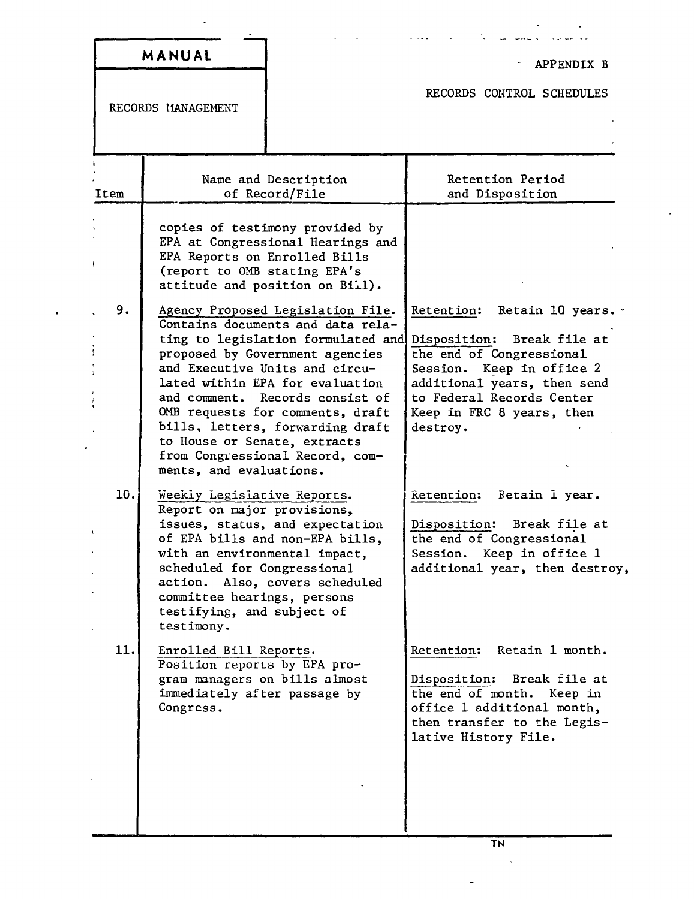|                    | MANUAL                                                                                                                                                                                                |                                                                                                                                                                                                                                                                                                                                                                    | APPENDIX B                                                                                                                                                                                                                      |
|--------------------|-------------------------------------------------------------------------------------------------------------------------------------------------------------------------------------------------------|--------------------------------------------------------------------------------------------------------------------------------------------------------------------------------------------------------------------------------------------------------------------------------------------------------------------------------------------------------------------|---------------------------------------------------------------------------------------------------------------------------------------------------------------------------------------------------------------------------------|
| RECORDS MANAGEMENT |                                                                                                                                                                                                       |                                                                                                                                                                                                                                                                                                                                                                    | RECORDS CONTROL SCHEDULES                                                                                                                                                                                                       |
| Item               |                                                                                                                                                                                                       | Name and Description<br>of Record/File                                                                                                                                                                                                                                                                                                                             | Retention Period<br>and Disposition                                                                                                                                                                                             |
|                    | EPA Reports on Enrolled Bills<br>(report to OMB stating EPA's                                                                                                                                         | copies of testimony provided by<br>EPA at Congressional Hearings and<br>attitude and position on Biil).                                                                                                                                                                                                                                                            |                                                                                                                                                                                                                                 |
| 9.                 | to House or Senate, extracts<br>ments, and evaluations.                                                                                                                                               | Agency Proposed Legislation File.<br>Contains documents and data rela-<br>ting to legislation formulated and<br>proposed by Government agencies<br>and Executive Units and circu-<br>lated within EPA for evaluation<br>and comment. Records consist of<br>OMB requests for comments, draft<br>bills, letters, forwarding draft<br>from Congressional Record, com- | Retention:<br>Retain 10 years. .<br>Disposition:<br>Break file at<br>the end of Congressional<br>Session. Keep in office 2<br>additional years, then send<br>to Federal Records Center<br>Keep in FRC 8 years, then<br>destroy. |
| 10.                | Weekly Legislative Reports.<br>Report on major provisions,<br>with an environmental impact,<br>scheduled for Congressional<br>committee hearings, persons<br>testifying, and subject of<br>testimony. | issues, status, and expectation<br>of EPA bills and non-EPA bills,<br>action. Also, covers scheduled                                                                                                                                                                                                                                                               | Retention:<br>Retain 1 year.<br>Disposition:<br>Break file at<br>the end of Congressional<br>Session. Keep in office 1<br>additional year, then destroy,                                                                        |
| 11.                | Enrolled Bill Reports.<br>Position reports by EPA pro-<br>gram managers on bills almost<br>immediately after passage by<br>Congress.                                                                  |                                                                                                                                                                                                                                                                                                                                                                    | Retention:<br>Retain 1 month.<br>Disposition: Break file at<br>the end of month. Keep in<br>office 1 additional month,<br>then transfer to the Legis-<br>lative History File.                                                   |

 $\overline{a}$ 

.